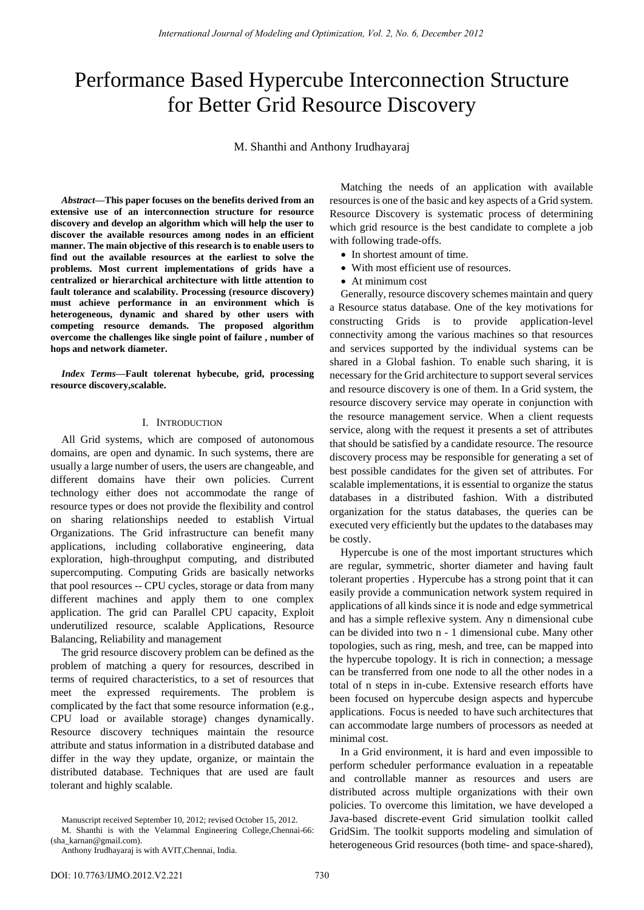# Performance Based Hypercube Interconnection Structure for Better Grid Resource Discovery

M. Shanthi and Anthony Irudhayaraj

*Abstract***—This paper focuses on the benefits derived from an extensive use of an interconnection structure for resource discovery and develop an algorithm which will help the user to discover the available resources among nodes in an efficient manner. The main objective of this research is to enable users to find out the available resources at the earliest to solve the problems. Most current implementations of grids have a centralized or hierarchical architecture with little attention to fault tolerance and scalability. Processing (resource discovery) must achieve performance in an environment which is heterogeneous, dynamic and shared by other users with competing resource demands. The proposed algorithm overcome the challenges like single point of failure , number of hops and network diameter.** 

*Index Terms***—Fault tolerenat hybecube, grid, processing resource discovery,scalable.** 

# I. INTRODUCTION

All Grid systems, which are composed of autonomous domains, are open and dynamic. In such systems, there are usually a large number of users, the users are changeable, and different domains have their own policies. Current technology either does not accommodate the range of resource types or does not provide the flexibility and control on sharing relationships needed to establish Virtual Organizations. The Grid infrastructure can benefit many applications, including collaborative engineering, data exploration, high-throughput computing, and distributed supercomputing. Computing Grids are basically networks that pool resources -- CPU cycles, storage or data from many different machines and apply them to one complex application. The grid can Parallel CPU capacity, Exploit underutilized resource*,* scalable Applications, Resource Balancing, Reliability and management

The grid resource discovery problem can be defined as the problem of matching a query for resources, described in terms of required characteristics, to a set of resources that meet the expressed requirements. The problem is complicated by the fact that some resource information (e.g., CPU load or available storage) changes dynamically. Resource discovery techniques maintain the resource attribute and status information in a distributed database and differ in the way they update, organize, or maintain the distributed database. Techniques that are used are fault tolerant and highly scalable.

Manuscript received September 10, 2012; revised October 15, 2012.

M. Shanthi is with the Velammal Engineering College,Chennai-66: (sha\_karnan@gmail.com).

Anthony Irudhayaraj is with AVIT,Chennai, India.

Matching the needs of an application with available resources is one of the basic and key aspects of a Grid system. Resource Discovery is systematic process of determining which grid resource is the best candidate to complete a job with following trade-offs.

- In shortest amount of time.
- With most efficient use of resources.
- At minimum cost

Generally, resource discovery schemes maintain and query a Resource status database. One of the key motivations for constructing Grids is to provide application-level connectivity among the various machines so that resources and services supported by the individual systems can be shared in a Global fashion. To enable such sharing, it is necessary for the Grid architecture to support several services and resource discovery is one of them. In a Grid system, the resource discovery service may operate in conjunction with the resource management service. When a client requests service, along with the request it presents a set of attributes that should be satisfied by a candidate resource. The resource discovery process may be responsible for generating a set of best possible candidates for the given set of attributes. For scalable implementations, it is essential to organize the status databases in a distributed fashion. With a distributed organization for the status databases, the queries can be executed very efficiently but the updates to the databases may be costly.

Hypercube is one of the most important structures which are regular, symmetric, shorter diameter and having fault tolerant properties . Hypercube has a strong point that it can easily provide a communication network system required in applications of all kinds since it is node and edge symmetrical and has a simple reflexive system. Any n dimensional cube can be divided into two n - 1 dimensional cube. Many other topologies, such as ring, mesh, and tree, can be mapped into the hypercube topology. It is rich in connection; a message can be transferred from one node to all the other nodes in a total of n steps in in-cube. Extensive research efforts have been focused on hypercube design aspects and hypercube applications. Focus is needed to have such architectures that can accommodate large numbers of processors as needed at minimal cost.

In a Grid environment, it is hard and even impossible to perform scheduler performance evaluation in a repeatable and controllable manner as resources and users are distributed across multiple organizations with their own policies. To overcome this limitation, we have developed a Java-based discrete-event Grid simulation toolkit called GridSim. The toolkit supports modeling and simulation of heterogeneous Grid resources (both time- and space-shared),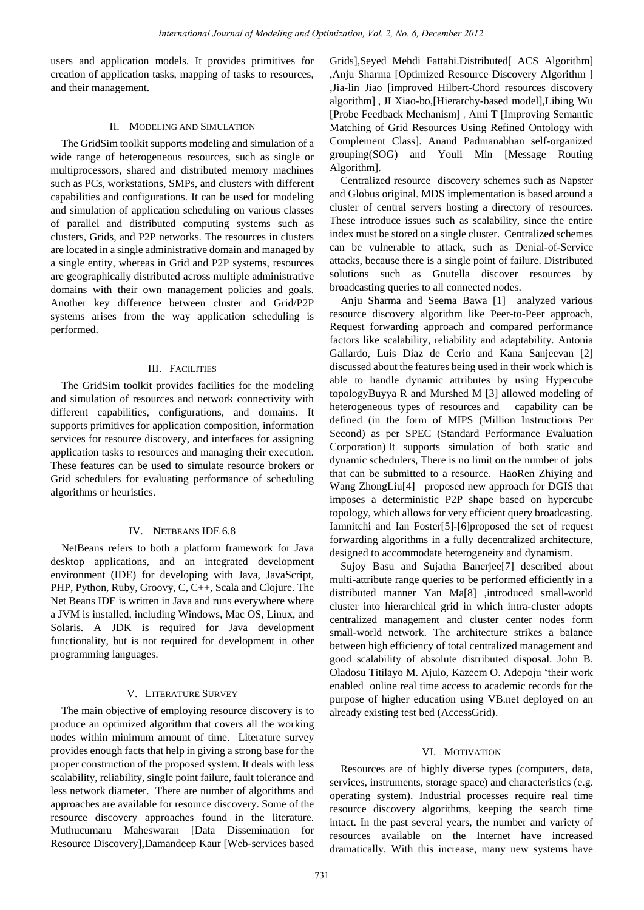users and application models. It provides primitives for creation of application tasks, mapping of tasks to resources, and their management.

## II. MODELING AND SIMULATION

The GridSim toolkit supports modeling and simulation of a wide range of heterogeneous resources, such as single or multiprocessors, shared and distributed memory machines such as PCs, workstations, SMPs, and clusters with different capabilities and configurations. It can be used for modeling and simulation of application scheduling on various classes of parallel and distributed computing systems such as clusters, Grids, and P2P networks. The resources in clusters are located in a single administrative domain and managed by a single entity, whereas in Grid and P2P systems, resources are geographically distributed across multiple administrative domains with their own management policies and goals. Another key difference between cluster and Grid/P2P systems arises from the way application scheduling is performed.

# III. FACILITIES

The GridSim toolkit provides facilities for the modeling and simulation of resources and network connectivity with different capabilities, configurations, and domains. It supports primitives for application composition, information services for resource discovery, and interfaces for assigning application tasks to resources and managing their execution. These features can be used to simulate resource brokers or Grid schedulers for evaluating performance of scheduling algorithms or heuristics.

# IV. NETBEANS IDE 6.8

NetBeans refers to both a platform framework for Java desktop applications, and an integrated development environment (IDE) for developing with Java, JavaScript, PHP, Python, Ruby, Groovy, C, C++, Scala and Clojure. The Net Beans IDE is written in Java and runs everywhere where a JVM is installed, including Windows, Mac OS, Linux, and Solaris. A JDK is required for Java development functionality, but is not required for development in other programming languages.

## V. LITERATURE SURVEY

The main objective of employing resource discovery is to produce an optimized algorithm that covers all the working nodes within minimum amount of time. Literature survey provides enough facts that help in giving a strong base for the proper construction of the proposed system. It deals with less scalability, reliability, single point failure, fault tolerance and less network diameter. There are number of algorithms and approaches are available for resource discovery. Some of the resource discovery approaches found in the literature. Muthucumaru Maheswaran [Data Dissemination for Resource Discovery],Damandeep Kaur [Web-services based Grids],Seyed Mehdi Fattahi.Distributed[ ACS Algorithm] ,Anju Sharma [Optimized Resource Discovery Algorithm ] ,Jia-lin Jiao [improved Hilbert-Chord resources discovery algorithm] , JI Xiao-bo,[Hierarchy-based model],Libing Wu [Probe Feedback Mechanism] , Ami T [Improving Semantic Matching of Grid Resources Using Refined Ontology with Complement Class]. Anand Padmanabhan self-organized grouping(SOG) and Youli Min [Message Routing Algorithm].

Centralized resource discovery schemes such as Napster and Globus original. MDS implementation is based around a cluster of central servers hosting a directory of resources. These introduce issues such as scalability, since the entire index must be stored on a single cluster. Centralized schemes can be vulnerable to attack, such as Denial-of-Service attacks, because there is a single point of failure. Distributed solutions such as Gnutella discover resources by broadcasting queries to all connected nodes.

Anju Sharma and Seema Bawa [1] analyzed various resource discovery algorithm like Peer-to-Peer approach, Request forwarding approach and compared performance factors like scalability, reliability and adaptability. Antonia Gallardo, Luis Diaz de Cerio and Kana Sanjeevan [2] discussed about the features being used in their work which is able to handle dynamic attributes by using Hypercube topologyBuyya R and Murshed M [3] allowed modeling of heterogeneous types of resources and capability can be defined (in the form of MIPS (Million Instructions Per Second) as per SPEC (Standard Performance Evaluation Corporation) It supports simulation of both static and dynamic schedulers, There is no limit on the number of jobs that can be submitted to a resource. HaoRen Zhiying and Wang ZhongLiu[4] proposed new approach for DGIS that imposes a deterministic P2P shape based on hypercube topology, which allows for very efficient query broadcasting. Iamnitchi and Ian Foster[5]-[6]proposed the set of request forwarding algorithms in a fully decentralized architecture, designed to accommodate heterogeneity and dynamism.

Sujoy Basu and Sujatha Banerjee[7] described about multi-attribute range queries to be performed efficiently in a distributed manner Yan Ma[8] ,introduced small-world cluster into hierarchical grid in which intra-cluster adopts centralized management and cluster center nodes form small-world network. The architecture strikes a balance between high efficiency of total centralized management and good scalability of absolute distributed disposal. John B. Oladosu Titilayo M. Ajulo, Kazeem O. Adepoju "their work enabled online real time access to academic records for the purpose of higher education using VB.net deployed on an already existing test bed (AccessGrid).

## VI. MOTIVATION

Resources are of highly diverse types (computers, data, services, instruments, storage space) and characteristics (e.g. operating system). Industrial processes require real time resource discovery algorithms, keeping the search time intact. In the past several years, the number and variety of resources available on the Internet have increased dramatically. With this increase, many new systems have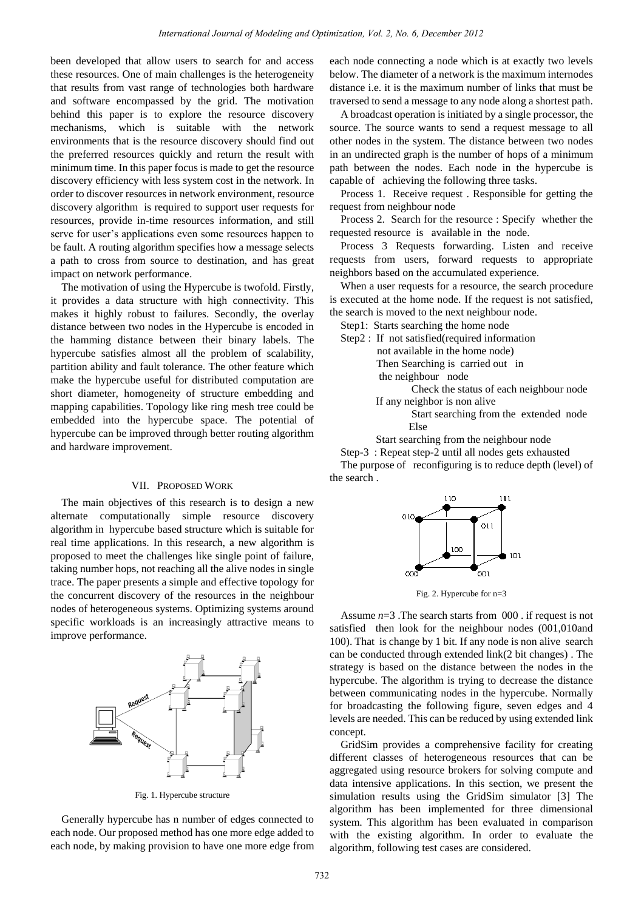been developed that allow users to search for and access these resources. One of main challenges is the heterogeneity that results from vast range of technologies both hardware and software encompassed by the grid. The motivation behind this paper is to explore the resource discovery mechanisms, which is suitable with the network environments that is the resource discovery should find out the preferred resources quickly and return the result with minimum time. In this paper focus is made to get the resource discovery efficiency with less system cost in the network. In order to discover resources in network environment, resource discovery algorithm is required to support user requests for resources, provide in-time resources information, and still serve for user's applications even some resources happen to be fault. A routing algorithm specifies how a message selects a path to cross from source to destination, and has great impact on network performance.

The motivation of using the Hypercube is twofold. Firstly, it provides a data structure with high connectivity. This makes it highly robust to failures. Secondly, the overlay distance between two nodes in the Hypercube is encoded in the hamming distance between their binary labels. The hypercube satisfies almost all the problem of scalability, partition ability and fault tolerance. The other feature which make the hypercube useful for distributed computation are short diameter, homogeneity of structure embedding and mapping capabilities. Topology like ring mesh tree could be embedded into the hypercube space. The potential of hypercube can be improved through better routing algorithm and hardware improvement.

#### VII. PROPOSED WORK

The main objectives of this research is to design a new alternate computationally simple resource discovery algorithm in hypercube based structure which is suitable for real time applications. In this research, a new algorithm is proposed to meet the challenges like single point of failure, taking number hops, not reaching all the alive nodes in single trace. The paper presents a simple and effective topology for the concurrent discovery of the resources in the neighbour nodes of heterogeneous systems. Optimizing systems around specific workloads is an increasingly attractive means to improve performance.



Fig. 1. Hypercube structure

Generally hypercube has n number of edges connected to each node. Our proposed method has one more edge added to each node, by making provision to have one more edge from each node connecting a node which is at exactly two levels below. The diameter of a network is the maximum internodes distance i.e. it is the maximum number of links that must be traversed to send a message to any node along a shortest path.

A broadcast operation is initiated by a single processor, the source. The source wants to send a request message to all other nodes in the system. The distance between two nodes in an undirected graph is the number of hops of a minimum path between the nodes. Each node in the hypercube is capable of achieving the following three tasks.

 Process 1. Receive request . Responsible for getting the request from neighbour node

Process 2. Search for the resource : Specify whether the requested resource is available in the node.

Process 3 Requests forwarding. Listen and receive requests from users, forward requests to appropriate neighbors based on the accumulated experience.

When a user requests for a resource, the search procedure is executed at the home node. If the request is not satisfied, the search is moved to the next neighbour node.

Step1: Starts searching the home node

Step2 : If not satisfied(required information

not available in the home node)

Then Searching is carried out in

the neighbour node

 Check the status of each neighbour node If any neighbor is non alive

> Start searching from the extended node Else

Start searching from the neighbour node

Step-3 : Repeat step-2 until all nodes gets exhausted

The purpose of reconfiguring is to reduce depth (level) of the search .



Fig. 2. Hypercube for n=3

Assume *n*=3 .The search starts from 000 . if request is not satisfied then look for the neighbour nodes (001,010and 100). That is change by 1 bit. If any node is non alive search can be conducted through extended link(2 bit changes) . The strategy is based on the distance between the nodes in the hypercube. The algorithm is trying to decrease the distance between communicating nodes in the hypercube. Normally for broadcasting the following figure, seven edges and 4 levels are needed. This can be reduced by using extended link concept.

GridSim provides a comprehensive facility for creating different classes of heterogeneous resources that can be aggregated using resource brokers for solving compute and data intensive applications. In this section, we present the simulation results using the GridSim simulator [3] The algorithm has been implemented for three dimensional system. This algorithm has been evaluated in comparison with the existing algorithm. In order to evaluate the algorithm, following test cases are considered.